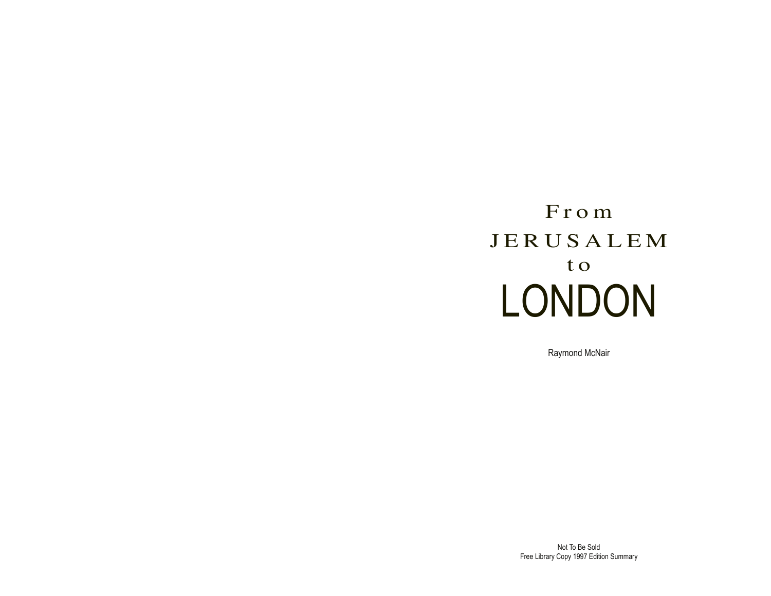# From JERUSALEM t o LONDON

Raymond McNair

Not To Be Sold Free Library Copy 1997 Edition Summary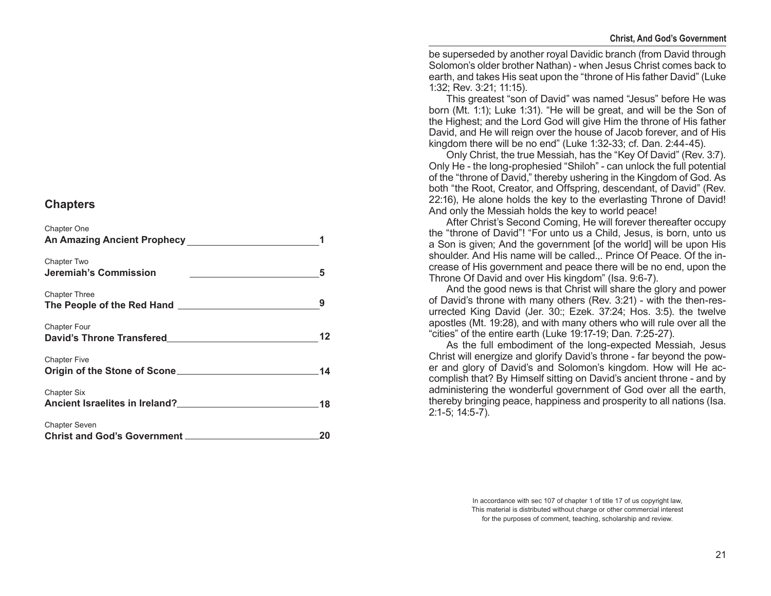# **Chapters**

| Chapter One                                                                                                                                                                                                                                           |     |
|-------------------------------------------------------------------------------------------------------------------------------------------------------------------------------------------------------------------------------------------------------|-----|
| Chapter Two<br>Jeremiah's Commission                                                                                                                                                                                                                  | 5   |
| <b>Chapter Three</b>                                                                                                                                                                                                                                  |     |
| <b>Chapter Four</b><br>David's Throne Transfered Manuscripture and Manuscripture of the United States of the United States of the United States of the United States of the United States of the United States of the United States of the United Sta | 12  |
| <b>Chapter Five</b>                                                                                                                                                                                                                                   | 14  |
| <b>Chapter Six</b>                                                                                                                                                                                                                                    | .18 |
| <b>Chapter Seven</b>                                                                                                                                                                                                                                  | 20  |

be superseded by another royal Davidic branch (from David through Solomon's older brother Nathan) - when Jesus Christ comes back to earth, and takes His seat upon the "throne of His father David" (Luke 1:32; Rev. 3:21; 11:15).

This greatest "son of David" was named "Jesus" before He was born (Mt. 1:1); Luke 1:31). "He will be great, and will be the Son of the Highest; and the Lord God will give Him the throne of His father David, and He will reign over the house of Jacob forever, and of His kingdom there will be no end" (Luke 1:32 -33; cf. Dan. 2:44 -45).

Only Christ, the true Messiah, has the "Key Of David" (Rev. 3:7). Only He - the long-prophesied "Shiloh" - can unlock the full potential of the "throne of David," thereby ushering in the Kingdom of God. As both "the Root, Creator, and Offspring, descendant, of David" (Rev. 22:16), He alone holds the key to the everlasting Throne of David! And only the Messiah holds the key to world peace!

After Christ's Second Coming, He will forever thereafter occupy the "throne of David"! "For unto us a Child, Jesus, is born, unto us a Son is given; And the government [of the world] will be upon His shoulder. And His name will be called.,. Prince Of Peace. Of the in crease of His government and peace there will be no end, upon the Throne Of David and over His kingdom" (Isa. 9:6 -7).

And the good news is that Christ will share the glory and power of David's throne with many others (Rev. 3:21) - with the then -res urrected King David (Jer. 30:; Ezek. 37:24; Hos. 3:5). the twelve apostles (Mt. 19:28), and with many others who will rule over all the "cities" of the entire earth (Luke 19:17 -19; Dan. 7:25 -27).

As the full embodiment of the long -expected Messiah, Jesus Christ will energize and glorify David's throne - far beyond the pow er and glory of David's and Solomon's kingdom. How will He ac complish that? By Himself sitting on David's ancient throne - and by administering the wonderful government of God over all the earth, thereby bringing peace, happiness and prosperity to all nations (Isa. 2:1 -5; 14:5 -7).

> In accordance with sec 107 of chapter 1 of title 17 of us copyright law, This material is distributed without charge or other commercial interest for the purposes of comment, teaching, scholarship and review.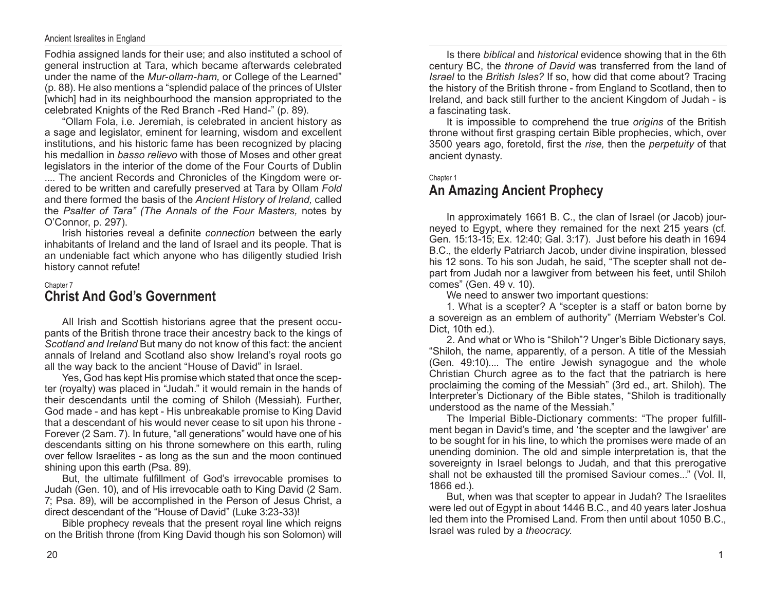#### Ancient Isrealites in England

Fodhia assigned lands for their use; and also instituted a school of general instruction at Tara, which became afterwards celebrated under the name of the *Mur‑ollam‑ham,* or College of the Learned" (p. 88). He also mentions a "splendid palace of the princes of Ulster [which] had in its neighbourhood the mansion appropriated to the celebrated Knights of the Red Branch -Red Hand-" (p. 89).

"Ollam Fola, i.e. Jeremiah, is celebrated in ancient history as a sage and legislator, eminent for learning, wisdom and excellent institutions, and his historic fame has been recognized by placing his medallion in *basso relievo* with those of Moses and other great legislators in the interior of the dome of the Four Courts of Dublin

.... The ancient Records and Chronicles of the Kingdom were ordered to be written and carefully preserved at Tara by Ollam *Fold*  and there formed the basis of the *Ancient History of Ireland,* called the *Psalter of Tara" (The Annals of the Four Masters,* notes by O'Connor, p. 297).

Irish histories reveal a definite *connection* between the early inhabitants of Ireland and the land of Israel and its people. That is an undeniable fact which anyone who has diligently studied Irish history cannot refute!

#### Chapter 7 **Christ And God's Government**

All Irish and Scottish historians agree that the present occupants of the British throne trace their ancestry back to the kings of *Scotland and Ireland* But many do not know of this fact: the ancient annals of Ireland and Scotland also show Ireland's royal roots go all the way back to the ancient "House of David" in Israel.

Yes, God has kept His promise which stated that once the scepter (royalty) was placed in "Judah." it would remain in the hands of their descendants until the coming of Shiloh (Messiah). Further, God made - and has kept - His unbreakable promise to King David that a descendant of his would never cease to sit upon his throne - Forever (2 Sam. 7). In future, "all generations" would have one of his descendants sitting on his throne somewhere on this earth, ruling over fellow Israelites - as long as the sun and the moon continued shining upon this earth (Psa. 89).

But, the ultimate fulfillment of God's irrevocable promises to Judah (Gen. 10), and of His irrevocable oath to King David (2 Sam. 7; Psa. 89), will be accomplished in the Person of Jesus Christ, a direct descendant of the "House of David" (Luke 3:23-33)!

Bible prophecy reveals that the present royal line which reigns on the British throne (from King David though his son Solomon) will

Is there *biblical* and *historical* evidence showing that in the 6th century BC, the *throne of David* was transferred from the land of *Israel* to the *British Isles?* If so, how did that come about? Tracing the history of the British throne - from England to Scotland, then to Ireland, and back still further to the ancient Kingdom of Judah - is a fascinating task.

It is impossible to comprehend the true *origins* of the British throne without first grasping certain Bible prophecies, which, over 3500 years ago, foretold, first the *rise,* then the *perpetuity* of that ancient dynasty.

#### Chapter 1

# **An Amazing Ancient Prophecy**

In approximately 1661 B. C., the clan of Israel (or Jacob) journeyed to Egypt, where they remained for the next 215 years (cf. Gen. 15:13-15; Ex. 12:40; Gal. 3:17). Just before his death in 1694 B.C., the elderly Patriarch Jacob, under divine inspiration, blessed his 12 sons. To his son Judah, he said, "The scepter shall not depart from Judah nor a lawgiver from between his feet, until Shiloh comes" (Gen. 49 v. 10).

We need to answer two important questions:

1. What is a scepter? A "scepter is a staff or baton borne by a sovereign as an emblem of authority" (Merriam Webster's Col. Dict, 10th ed.).

2. And what or Who is "Shiloh"? Unger's Bible Dictionary says, "Shiloh, the name, apparently, of a person. A title of the Messiah (Gen. 49:10).... The entire Jewish synagogue and the whole Christian Church agree as to the fact that the patriarch is here proclaiming the coming of the Messiah" (3rd ed., art. Shiloh). The Interpreter's Dictionary of the Bible states, "Shiloh is traditionally understood as the name of the Messiah."

The Imperial Bible‑Dictionary comments: "The proper fulfillment began in David's time, and 'the scepter and the lawgiver' are to be sought for in his line, to which the promises were made of an unending dominion. The old and simple interpretation is, that the sovereignty in Israel belongs to Judah, and that this prerogative shall not be exhausted till the promised Saviour comes..." (Vol. II, 1866 ed.).

But, when was that scepter to appear in Judah? The Israelites were led out of Egypt in about 1446 B.C., and 40 years later Joshua led them into the Promised Land. From then until about 1050 B.C., Israel was ruled by a *theocracy.*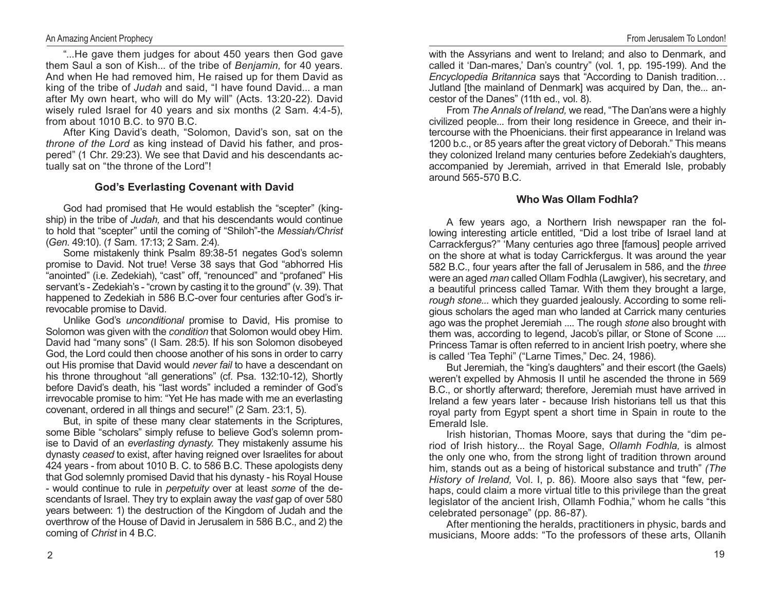"...He gave them judges for about 450 years then God gave them Saul a son of Kish... of the tribe of *Benjamin,* for 40 years. And when He had removed him, He raised up for them David as king of the tribe of *Judah* and said, "I have found David... a man after My own heart, who will do My will" (Acts. 13:20-22). David wisely ruled Israel for 40 years and six months (2 Sam. 4:4-5), from about 1010 B.C. to 970 B.C.

After King David's death, "Solomon, David's son, sat on the *throne of the Lord* as king instead of David his father, and prospered" (1 Chr. 29:23). We see that David and his descendants actually sat on "the throne of the Lord"!

## **God's Everlasting Covenant with David**

God had promised that He would establish the "scepter" (kingship) in the tribe of *Judah,* and that his descendants would continue to hold that "scepter" until the coming of "Shiloh"-the *Messiah/Christ*  (*Gen*. 49:10). (*1* Sam. 17:13; 2 Sam. 2:4).

Some mistakenly think Psalm 89:38-51 negates God's solemn promise to David. Not true! Verse 38 says that God "abhorred His "anointed" (i.e. Zedekiah), "cast" off, "renounced" and "profaned" His servant's - Zedekiah's - "crown by casting it to the ground" (v. 39). That happened to Zedekiah in 586 B.C-over four centuries after God's irrevocable promise to David.

Unlike God's *unconditional* promise to David, His promise to Solomon was given with the *condition* that Solomon would obey Him. David had "many sons" (I Sam. 28:5). If his son Solomon disobeyed God, the Lord could then choose another of his sons in order to carry out His promise that David would *never fail* to have a descendant on his throne throughout "all generations" (cf. Psa. 132:10-12), Shortly before David's death, his "last words" included a reminder of God's irrevocable promise to him: "Yet He has made with me an everlasting covenant, ordered in all things and secure!" (2 Sam. 23:1, 5).

But, in spite of these many clear statements in the Scriptures, some Bible "scholars" simply refuse to believe God's solemn promise to David of an *everlasting dynasty.* They mistakenly assume his dynasty *ceased* to exist, after having reigned over Israelites for about 424 years - from about 1010 B. C. to 586 B.C. These apologists deny that God solemnly promised David that his dynasty - his Royal House - would continue to rule in *perpetuity* over at least *some* of the descendants of Israel. They try to explain away the *vast* gap of over 580 years between: 1) the destruction of the Kingdom of Judah and the overthrow of the House of David in Jerusalem in 586 B.C., and 2) the coming of *Christ* in 4 B.C.

with the Assyrians and went to Ireland; and also to Denmark, and called it 'Dan-mares,' Dan's country" (vol. 1, pp. 195-199). And the *Encyclopedia Britannica* says that "According to Danish tradition… Jutland [the mainland of Denmark] was acquired by Dan, the... ancestor of the Danes" (11th ed., vol. 8).

From *The Annals of Ireland,* we read, "The Dan'ans were a highly civilized people... from their long residence in Greece, and their intercourse with the Phoenicians. their first appearance in Ireland was 1200 b.c., or 85 years after the great victory of Deborah." This means they colonized Ireland many centuries before Zedekiah's daughters, accompanied by Jeremiah, arrived in that Emerald Isle, probably around 565-570 B.C.

## **Who Was Ollam Fodhla?**

A few years ago, a Northern Irish newspaper ran the following interesting article entitled, "Did a lost tribe of Israel land at Carrackfergus?" 'Many centuries ago three [famous] people arrived on the shore at what is today Carrickfergus. It was around the year 582 B.C., four years after the fall of Jerusalem in 586, and the *three*  were an aged *man* called Ollam Fodhla (Lawgiver), his secretary, and a beautiful princess called Tamar. With them they brought a large, *rough stone...* which they guarded jealously. According to some religious scholars the aged man who landed at Carrick many centuries ago was the prophet Jeremiah .... The rough *stone* also brought with them was, according to legend, Jacob's pillar, or Stone of Scone .... Princess Tamar is often referred to in ancient Irish poetry, where she is called 'Tea Tephi" ("Larne Times," Dec. 24, 1986).

But Jeremiah, the "king's daughters" and their escort (the Gaels) weren't expelled by Ahmosis II until he ascended the throne in 569 B.C., or shortly afterward; therefore, Jeremiah must have arrived in Ireland a few years later - because Irish historians tell us that this royal party from Egypt spent a short time in Spain in route to the Emerald Isle.

Irish historian, Thomas Moore, says that during the "dim period of Irish history... the Royal Sage, *Ollamh Fodhla,* is almost the only one who, from the strong light of tradition thrown around him, stands out as a being of historical substance and truth" *(The History of Ireland,* Vol. I, p. 86). Moore also says that "few, perhaps, could claim a more virtual title to this privilege than the great legislator of the ancient Irish, Ollamh Fodhia," whom he calls "this celebrated personage" (pp. 86-87).

After mentioning the heralds, practitioners in physic, bards and musicians, Moore adds: "To the professors of these arts, Ollanih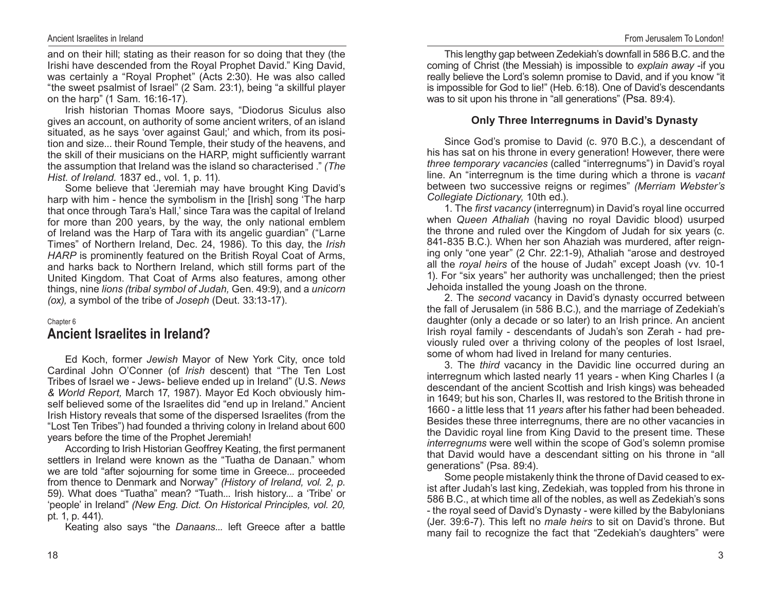and on their hill; stating as their reason for so doing that they (the Irishi have descended from the Royal Prophet David." King David, was certainly a "Royal Prophet" (Acts 2:30). He was also called "the sweet psalmist of Israel" (2 Sam. 23:1), being "a skillful player on the harp" (1 Sam. 16:16-17).

Irish historian Thomas Moore says, "Diodorus Siculus also gives an account, on authority of some ancient writers, of an island situated, as he says 'over against Gaul;' and which, from its position and size... their Round Temple, their study of the heavens, and the skill of their musicians on the HARP, might sufficiently warrant the assumption that Ireland was the island so characterised ." *(The Hist. of Ireland.* 1837 ed., vol. 1, p. 11).

Some believe that 'Jeremiah may have brought King David's harp with him - hence the symbolism in the [Irish] song 'The harp that once through Tara's Hall,' since Tara was the capital of Ireland for more than 200 years, by the way, the only national emblem of Ireland was the Harp of Tara with its angelic guardian" ("Larne Times" of Northern Ireland, Dec. 24, 1986). To this day, the *Irish HARP* is prominently featured on the British Royal Coat of Arms, and harks back to Northern Ireland, which still forms part of the United Kingdom. That Coat of Arms also features, among other things, nine *lions (tribal symbol of Judah,* Gen. 49:9), and a *unicorn (ox),* a symbol of the tribe of *Joseph* (Deut. 33:13-17).

#### Chapter 6

# **Ancient Israelites in Ireland?**

Ed Koch, former *Jewish* Mayor of New York City, once told Cardinal John O'Conner (of *Irish* descent) that "The Ten Lost Tribes of Israel we - Jews- believe ended up in Ireland" (U.S. *News & World Report,* March 17, 1987). Mayor Ed Koch obviously himself believed some of the Israelites did "end up in Ireland." Ancient Irish History reveals that some of the dispersed Israelites (from the "Lost Ten Tribes") had founded a thriving colony in Ireland about 600 years before the time of the Prophet Jeremiah!

According to Irish Historian Geoffrey Keating, the first permanent settlers in Ireland were known as the "Tuatha de Danaan." whom we are told "after sojourning for some time in Greece... proceeded from thence to Denmark and Norway" *(History of Ireland, vol. 2, p.*  59). What does "Tuatha" mean? "Tuath... Irish history... a 'Tribe' or 'people' in Ireland" *(New Eng. Dict. On Historical Principles, vol. 20,*  pt. 1, p. 441).

Keating also says "the *Danaans...* left Greece after a battle

This lengthy gap between Zedekiah's downfall in 586 B.C. and the coming of Christ (the Messiah) is impossible to *explain away* -if you really believe the Lord's solemn promise to David, and if you know "it is impossible for God to lie!" (Heb. 6:18). One of David's descendants was to sit upon his throne in "all generations" (Psa. 89:4).

## **Only Three Interregnums in David's Dynasty**

Since God's promise to David (c. 970 B.C.), a descendant of his has sat on his throne in every generation! However, there were *three temporary vacancies* (called "interregnums") in David's royal line. An "interregnum is the time during which a throne is *vacant* between two successive reigns or regimes" *(Merriam Webster's Collegiate Dictionary,* 10th ed.).

1. The *first vacancy* (interregnum) in David's royal line occurred when *Queen Athaliah* (having no royal Davidic blood) usurped the throne and ruled over the Kingdom of Judah for six years (c. 841-835 B.C.). When her son Ahaziah was murdered, after reigning only "one year" (2 Chr. 22:1-9), Athaliah "arose and destroyed all the *royal heirs* of the house of Judah" except Joash (vv. 10-1 1). For "six years" her authority was unchallenged; then the priest Jehoida installed the young Joash on the throne.

2. The *second* vacancy in David's dynasty occurred between the fall of Jerusalem (in 586 B.C.), and the marriage of Zedekiah's daughter (only a decade or so later) to an Irish prince. An ancient Irish royal family - descendants of Judah's son Zerah - had previously ruled over a thriving colony of the peoples of lost Israel, some of whom had lived in Ireland for many centuries.

3. The *third* vacancy in the Davidic line occurred during an interregnum which lasted nearly 11 years - when King Charles I (a descendant of the ancient Scottish and Irish kings) was beheaded in 1649; but his son, Charles II, was restored to the British throne in 1660 - a little less that 11 *years* after his father had been beheaded. Besides these three interregnums, there are no other vacancies in the Davidic royal line from King David to the present time. These *interregnums* were well within the scope of God's solemn promise that David would have a descendant sitting on his throne in "all generations" (Psa. 89:4).

Some people mistakenly think the throne of David ceased to exist after Judah's last king, Zedekiah, was toppled from his throne in 586 B.C., at which time all of the nobles, as well as Zedekiah's sons - the royal seed of David's Dynasty - were killed by the Babylonians (Jer. 39:6-7). This left no *male heirs* to sit on David's throne. But many fail to recognize the fact that "Zedekiah's daughters" were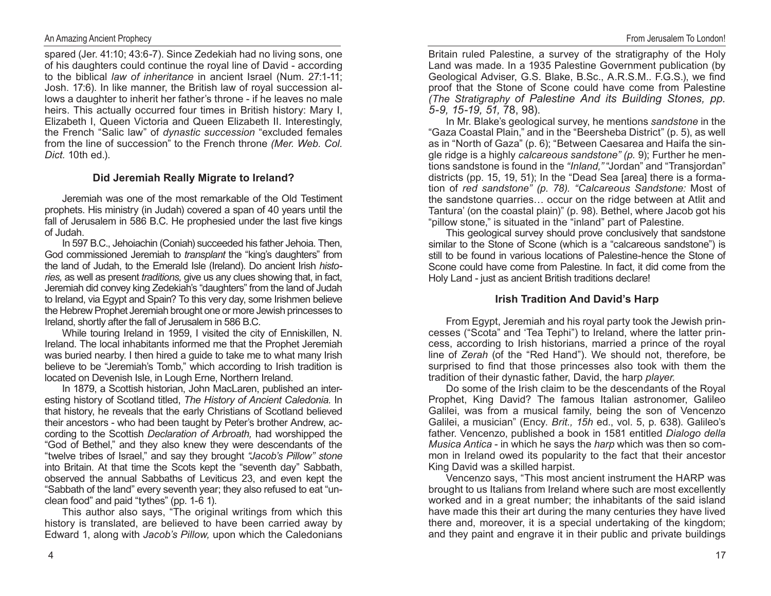## An Amazing Ancient Prophecy

spared (Jer. 41:10; 43:6-7). Since Zedekiah had no living sons, one of his daughters could continue the royal line of David - according to the biblical *law of inheritance* in ancient Israel (Num. 27:1-11; Josh. 17:6). In like manner, the British law of royal succession allows a daughter to inherit her father's throne - if he leaves no male heirs. This actually occurred four times in British history: Mary I, Elizabeth I, Queen Victoria and Queen Elizabeth II. Interestingly, the French "Salic law" of *dynastic succession* "excluded females from the line of succession" to the French throne *(Mer. Web. Col. Dict.* 10th ed.).

## **Did Jeremiah Really Migrate to Ireland?**

Jeremiah was one of the most remarkable of the Old Testiment prophets. His ministry (in Judah) covered a span of 40 years until the fall of Jerusalem in 586 B.C. He prophesied under the last five kings of Judah.

In 597 B.C., Jehoiachin (Coniah) succeeded his father Jehoia. Then, God commissioned Jeremiah to *transplant* the "king's daughters" from the land of Judah, to the Emerald Isle (Ireland). Do ancient Irish *histo‑ ries,* as well as present *traditions,* give us any clues showing that, in fact, Jeremiah did convey king Zedekiah's "daughters" from the land of Judah to Ireland, via Egypt and Spain? To this very day, some Irishmen believe the Hebrew Prophet Jeremiah brought one or more Jewish princesses to Ireland, shortly after the fall of Jerusalem in 586 B.C.

While touring Ireland in 1959, I visited the city of Enniskillen, N. Ireland. The local inhabitants informed me that the Prophet Jeremiah was buried nearby. I then hired a guide to take me to what many Irish believe to be "Jeremiah's Tomb," which according to Irish tradition is located on Devenish Isle, in Lough Erne, Northern Ireland.

In 1879, a Scottish historian, John MacLaren, published an interesting history of Scotland titled, *The History of Ancient Caledonia.* In that history, he reveals that the early Christians of Scotland believed their ancestors - who had been taught by Peter's brother Andrew, according to the Scottish *Declaration of Arbroath,* had worshipped the "God of Bethel," and they also knew they were descendants of the "twelve tribes of Israel," and say they brought *"Jacob's Pillow" stone*  into Britain. At that time the Scots kept the "seventh day" Sabbath, observed the annual Sabbaths of Leviticus 23, and even kept the "Sabbath of the land" every seventh year; they also refused to eat "unclean food" and paid "tythes" (pp. 1-6 1).

This author also says, "The original writings from which this history is translated, are believed to have been carried away by Edward 1, along with *Jacob's Pillow,* upon which the Caledonians Britain ruled Palestine, a survey of the stratigraphy of the Holy Land was made. In a 1935 Palestine Government publication (by Geological Adviser, G.S. Blake, B.Sc., A.R.S.M.. F.G.S.), we find proof that the Stone of Scone could have come from Palestine *(The Stratigraphy of Palestine And its Building Stones, pp. 5‑9, 15‑19, 51,* 78, 98).

In Mr. Blake's geological survey, he mentions *sandstone* in the "Gaza Coastal Plain," and in the "Beersheba District" (p. 5), as well as in "North of Gaza" (p. 6); "Between Caesarea and Haifa the single ridge is a highly *calcareous sandstone" (p.* 9); Further he mentions sandstone is found in the *"Inland,"* "Jordan" and "Transjordan" districts (pp. 15, 19, 51); In the "Dead Sea [area] there is a formation of *red sandstone" (p. 78). "Calcareous Sandstone:* Most of the sandstone quarries… occur on the ridge between at Atlit and Tantura' (on the coastal plain)" (p. 98). Bethel, where Jacob got his "pillow stone," is situated in the "inland" part of Palestine.

This geological survey should prove conclusively that sandstone similar to the Stone of Scone (which is a "calcareous sandstone") is still to be found in various locations of Palestine-hence the Stone of Scone could have come from Palestine. In fact, it did come from the Holy Land - just as ancient British traditions declare!

#### **Irish Tradition And David's Harp**

From Egypt, Jeremiah and his royal party took the Jewish princesses ("Scota" and 'Tea Tephi") to Ireland, where the latter princess, according to Irish historians, married a prince of the royal line of *Zerah* (of the "Red Hand"). We should not, therefore, be surprised to find that those princesses also took with them the tradition of their dynastic father, David, the harp *player.*

Do some of the Irish claim to be the descendants of the Royal Prophet, King David? The famous Italian astronomer, Galileo Galilei, was from a musical family, being the son of Vencenzo Galilei, a musician" (Ency. *Brit., 15h* ed., vol. 5, p. 638). Galileo's father. Vencenzo, published a book in 1581 entitled *Dialogo della Musica Antica* - in which he says the *harp* which was then so common in Ireland owed its popularity to the fact that their ancestor King David was a skilled harpist.

Vencenzo says, "This most ancient instrument the HARP was brought to us Italians from Ireland where such are most excellently worked and in a great number; the inhabitants of the said island have made this their art during the many centuries they have lived there and, moreover, it is a special undertaking of the kingdom; and they paint and engrave it in their public and private buildings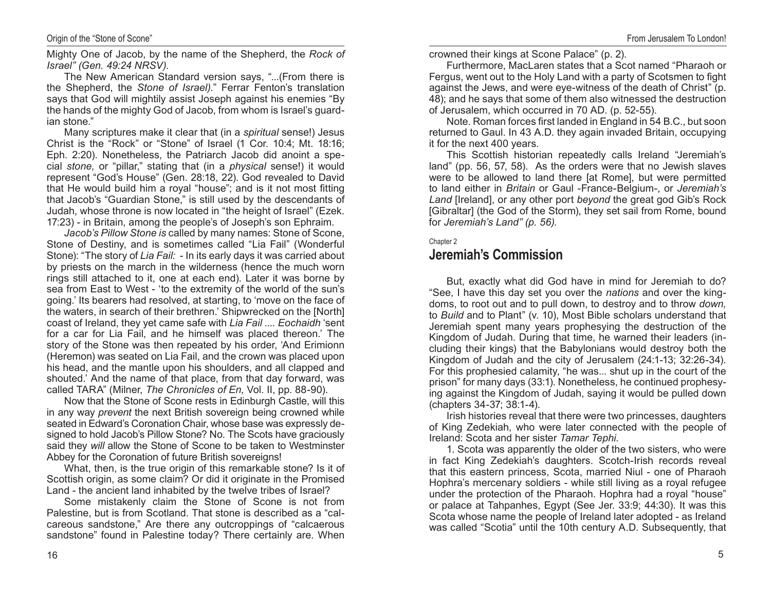Mighty One of Jacob, by the name of the Shepherd, the *Rock of Israel" (Gen. 49:24 NRSV).* 

The New American Standard version says, "...(From there is the Shepherd, the *Stone of Israel).*" Ferrar Fenton's translation says that God will mightily assist Joseph against his enemies "By the hands of the mighty God of Jacob, from whom is Israel's guardian stone."

Many scriptures make it clear that (in a *spiritual* sense!) Jesus Christ is the "Rock" or "Stone" of Israel (1 Cor. 10:4; Mt. 18:16; Eph. 2:20). Nonetheless, the Patriarch Jacob did anoint a special *stone,* or "pillar," stating that (in a *physical* sense!) it would represent "God's House" (Gen. 28:18, 22). God revealed to David that He would build him a royal "house"; and is it not most fitting that Jacob's "Guardian Stone," is still used by the descendants of Judah, whose throne is now located in "the height of Israel" (Ezek. 17:23) - in Britain, among the people's of Joseph's son Ephraim.

*Jacob's Pillow Stone is* called by many names: Stone of Scone, Stone of Destiny, and is sometimes called "Lia Fail" (Wonderful Stone): "The story of *Lia Fail:* - In its early days it was carried about by priests on the march in the wilderness (hence the much worn rings still attached to it, one at each end). Later it was borne by sea from East to West - 'to the extremity of the world of the sun's going.' Its bearers had resolved, at starting, to 'move on the face of the waters, in search of their brethren.' Shipwrecked on the [North] coast of Ireland, they yet came safe with *Lia Fail .... Eochaidh* 'sent for a car for Lia Fail, and he himself was placed thereon.' The story of the Stone was then repeated by his order, 'And Erimionn (Heremon) was seated on Lia Fail, and the crown was placed upon his head, and the mantle upon his shoulders, and all clapped and shouted.' And the name of that place, from that day forward, was called TARA" (Milner, *The Chronicles of En,* Vol. II, pp. 88-90).

Now that the Stone of Scone rests in Edinburgh Castle, will this in any way *prevent* the next British sovereign being crowned while seated in Edward's Coronation Chair, whose base was expressly designed to hold Jacob's Pillow Stone? No. The Scots have graciously said they *will* allow the Stone of Scone to be taken to Westminster Abbey for the Coronation of future British sovereigns!

What, then, is the true origin of this remarkable stone? Is it of Scottish origin, as some claim? Or did it originate in the Promised Land - the ancient land inhabited by the twelve tribes of Israel?

Some mistakenly claim the Stone of Scone is not from Palestine, but is from Scotland. That stone is described as a "calcareous sandstone," Are there any outcroppings of "calcaerous sandstone" found in Palestine today? There certainly are. When crowned their kings at Scone Palace" (p. 2).

Furthermore, MacLaren states that a Scot named "Pharaoh or Fergus, went out to the Holy Land with a party of Scotsmen to fight against the Jews, and were eye-witness of the death of Christ" (p. 48); and he says that some of them also witnessed the destruction of Jerusalem, which occurred in 70 AD. (p. 52-55).

Note. Roman forces first landed in England in 54 B.C., but soon returned to Gaul. In 43 A.D. they again invaded Britain, occupying it for the next 400 years.

This Scottish historian repeatedly calls Ireland "Jeremiah's land" (pp. 56, 57, 58). As the orders were that no Jewish slaves were to be allowed to land there [at Rome], but were permitted to land either in *Britain* or Gaul -France-Belgium-, or *Jeremiah's Land* [Ireland], or any other port *beyond* the great god Gib's Rock [Gibraltar] (the God of the Storm), they set sail from Rome, bound for *Jeremiah's Land" (p. 56).*

#### Chapter 2

# **Jeremiah's Commission**

But, exactly what did God have in mind for Jeremiah to do? "See, I have this day set you over the *nations* and over the kingdoms, to root out and to pull down, to destroy and to throw *down,* to *Build* and to Plant" (v. 10), Most Bible scholars understand that Jeremiah spent many years prophesying the destruction of the Kingdom of Judah. During that time, he warned their leaders (including their kings) that the Babylonians would destroy both the Kingdom of Judah and the city of Jerusalem (24:1-13; 32:26-34). For this prophesied calamity, "he was... shut up in the court of the prison" for many days (33:1). Nonetheless, he continued prophesying against the Kingdom of Judah, saying it would be pulled down (chapters 34-37; 38:1-4).

Irish histories reveal that there were two princesses, daughters of King Zedekiah, who were later connected with the people of Ireland: Scota and her sister *Tamar Tephi.*

1. Scota was apparently the older of the two sisters, who were in fact King Zedekiah's daughters. Scotch-Irish records reveal that this eastern princess, Scota, married Niul - one of Pharaoh Hophra's mercenary soldiers - while still living as a royal refugee under the protection of the Pharaoh. Hophra had a royal "house" or palace at Tahpanhes, Egypt (See Jer. 33:9; 44:30). It was this Scota whose name the people of Ireland later adopted - as Ireland was called "Scotia" until the 10th century A.D. Subsequently, that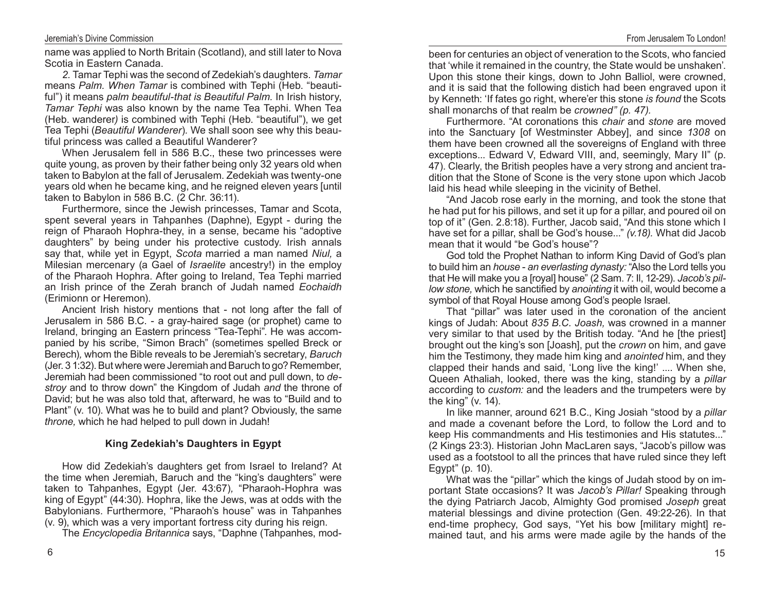#### Jeremiah's Divine Commission

name was applied to North Britain (Scotland), and still later to Nova Scotia in Eastern Canada.

*2.* Tamar Tephi was the second of Zedekiah's daughters. *Tamar*  means *Palm. When Tamar* is combined with Tephi (Heb. "beautiful") it means *palm beautiful-that is Beautiful Palm.* In Irish history, *Tamar Tephi* was also known by the name Tea Tephi. When Tea (Heb. wanderer*)* is combined with Tephi (Heb. "beautiful"), we get Tea Tephi (*Beautiful Wanderer*)*.* We shall soon see why this beautiful princess was called a Beautiful Wanderer?

When Jerusalem fell in 586 B.C., these two princesses were quite young, as proven by their father being only 32 years old when taken to Babylon at the fall of Jerusalem. Zedekiah was twenty-one years old when he became king, and he reigned eleven years [until taken to Babylon in 586 B.C. (2 Chr. 36:11).

Furthermore, since the Jewish princesses, Tamar and Scota, spent several years in Tahpanhes (Daphne), Egypt - during the reign of Pharaoh Hophra-they, in a sense, became his "adoptive daughters" by being under his protective custody. Irish annals say that, while yet in Egypt, *Scota* married a man named *Niul,* a Milesian mercenary (a Gael of *Israelite* ancestry!) in the employ of the Pharaoh Hophra. After going to Ireland, Tea Tephi married an Irish prince of the Zerah branch of Judah named *Eochaidh*  (Erimionn or Heremon).

Ancient Irish history mentions that - not long after the fall of Jerusalem in 586 B.C. - a gray-haired sage (or prophet) came to Ireland, bringing an Eastern princess "Tea-Tephi". He was accompanied by his scribe, "Simon Brach" (sometimes spelled Breck or Berech)*,* whom the Bible reveals to be Jeremiah's secretary, *Baruch*  (Jer. 3 1:32). But where were Jeremiah and Baruch to go? Remember, Jeremiah had been commissioned "to root out and pull down, to *de‑ stroy* and to throw down" the Kingdom of Judah *and* the throne of David; but he was also told that, afterward, he was to "Build and to Plant" (v. 10). What was he to build and plant? Obviously, the same *throne,* which he had helped to pull down in Judah!

## **King Zedekiah's Daughters in Egypt**

How did Zedekiah's daughters get from Israel to Ireland? At the time when Jeremiah, Baruch and the "king's daughters" were taken to Tahpanhes, Egypt (Jer. 43:67)*,* "Pharaoh-Hophra was king of Egypt" (44:30). Hophra, like the Jews, was at odds with the Babylonians. Furthermore, "Pharaoh's house" was in Tahpanhes (v. 9), which was a very important fortress city during his reign.

The *Encyclopedia Britannica* says, "Daphne (Tahpanhes, mod-

been for centuries an object of veneration to the Scots, who fancied that 'while it remained in the country, the State would be unshaken'. Upon this stone their kings, down to John Balliol, were crowned, and it is said that the following distich had been engraved upon it by Kenneth: 'If fates go right, where'er this stone *is found* the Scots shall monarchs of that realm be *crowned" (p. 47).*

Furthermore. "At coronations this *chair* and *stone* are moved into the Sanctuary [of Westminster Abbey], and since *1308* on them have been crowned all the sovereigns of England with three exceptions... Edward V, Edward VIII, and, seemingly, Mary II" (p. 47). Clearly, the British peoples have a very strong and ancient tradition that the Stone of Scone is the very stone upon which Jacob laid his head while sleeping in the vicinity of Bethel.

"And Jacob rose early in the morning, and took the stone that he had put for his pillows, and set it up for a pillar, and poured oil on top of it" (Gen. 2.8:18). Further, Jacob said, "And this stone which I have set for a pillar, shall be God's house..." *(v.18).* What did Jacob mean that it would "be God's house"?

God told the Prophet Nathan to inform King David of God's plan to build him an *house* - *an everlasting dynasty:* "Also the Lord tells you that He will make you a [royal] house" (2 Sam. 7: Il, 12-29). *Jacob's pil‑ low stone,* which he sanctified by *anointing* it with oil, would become a symbol of that Royal House among God's people Israel.

That "pillar" was later used in the coronation of the ancient kings of Judah: About *835 B.C. Joash,* was crowned in a manner very similar to that used by the British today. "And he [the priest] brought out the king's son [Joash], put the *crown* on him, and gave him the Testimony, they made him king and *anointed* him, and they clapped their hands and said, 'Long live the king!' .... When she, Queen Athaliah, looked, there was the king, standing by a *pillar*  according to *custom:* and the leaders and the trumpeters were by the king" (v. 14).

In like manner, around 621 B.C., King Josiah "stood by a *pillar*  and made a covenant before the Lord, to follow the Lord and to keep His commandments and His testimonies and His statutes..." (2 Kings 23:3). Historian John MacLaren says, "Jacob's pillow was used as a footstool to all the princes that have ruled since they left Egypt" (p. 10).

What was the "pillar" which the kings of Judah stood by on important State occasions? It was *Jacob's Pillar!* Speaking through the dying Patriarch Jacob, Almighty God promised *Joseph* great material blessings and divine protection (Gen. 49:22-26). In that end-time prophecy, God says, "Yet his bow [military might] remained taut, and his arms were made agile by the hands of the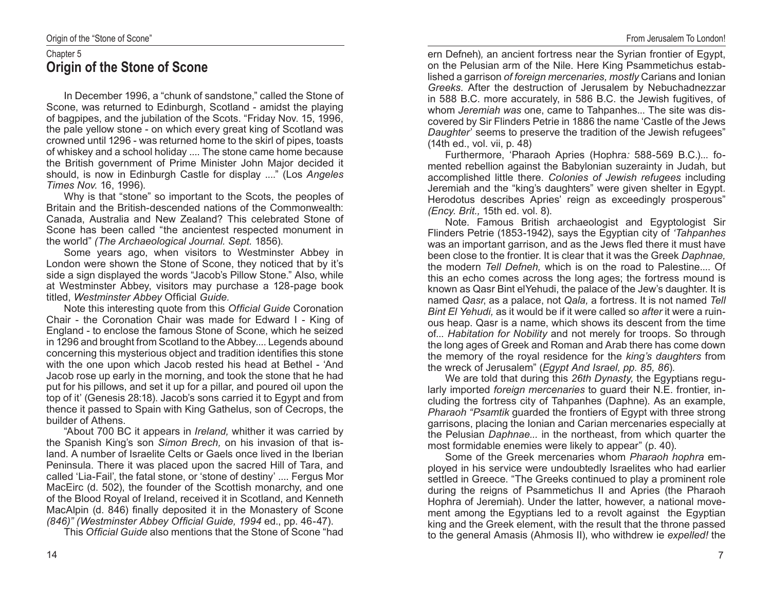# Chapter 5 **Origin of the Stone of Scone**

In December 1996, a "chunk of sandstone," called the Stone of Scone, was returned to Edinburgh, Scotland - amidst the playing of bagpipes, and the jubilation of the Scots. "Friday Nov. 15, 1996, the pale yellow stone - on which every great king of Scotland was crowned until 1296 - was returned home to the skirl of pipes, toasts of whiskey and a school holiday .... The stone came home because the British government of Prime Minister John Major decided it should, is now in Edinburgh Castle for display ...." (Los *Angeles Times Nov.* 16, 1996).

Why is that "stone" so important to the Scots, the peoples of Britain and the British-descended nations of the Commonwealth: Canada, Australia and New Zealand? This celebrated Stone of Scone has been called "the ancientest respected monument in the world" *(The Archaeological Journal. Sept.* 1856).

Some years ago, when visitors to Westminster Abbey in London were shown the Stone of Scone, they noticed that by it's side a sign displayed the words "Jacob's Pillow Stone." Also, while at Westminster Abbey, visitors may purchase a 128-page book titled, *Westminster Abbey* Official *Guide.*

Note this interesting quote from this *Official Guide* Coronation Chair - the Coronation Chair was made for Edward I - King of England - to enclose the famous Stone of Scone, which he seized in 1296 and brought from Scotland to the Abbey.... Legends abound concerning this mysterious object and tradition identifies this stone with the one upon which Jacob rested his head at Bethel - 'And Jacob rose up early in the morning, and took the stone that he had put for his pillows, and set it up for a pillar, and poured oil upon the top of it' (Genesis 28:18). Jacob's sons carried it to Egypt and from thence it passed to Spain with King Gathelus, son of Cecrops, the builder of Athens.

"About 700 BC it appears in *Ireland,* whither it was carried by the Spanish King's son *Simon Brech,* on his invasion of that island. A number of Israelite Celts or Gaels once lived in the Iberian Peninsula. There it was placed upon the sacred Hill of Tara, and called 'Lia-Fail', the fatal stone, or 'stone of destiny' .... Fergus Mor MacEirc (d. 502), the founder of the Scottish monarchy, and one of the Blood Royal of Ireland, received it in Scotland, and Kenneth MacAlpin (d. 846) finally deposited it in the Monastery of Scone *(846)" (Westminster Abbey Official Guide, 1994* ed., pp. 46-47).

This *Official Guide* also mentions that the Stone of Scone "had

ern Defneh)*,* an ancient fortress near the Syrian frontier of Egypt, on the Pelusian arm of the Nile. Here King Psammetichus established a garrison *of foreign mercenaries, mostly* Carians and Ionian *Greeks.* After the destruction of Jerusalem by Nebuchadnezzar in 588 B.C. more accurately, in 586 B.C. the Jewish fugitives, of whom *Jeremiah was* one, came to Tahpanhes... The site was discovered by Sir Flinders Petrie in 1886 the name 'Castle of the Jews *Daughter*' seems to preserve the tradition of the Jewish refugees" (14th ed., vol. vii, p. 48)

Furthermore, 'Pharaoh Apries (Hophra*:* 588-569 B.C.)... fomented rebellion against the Babylonian suzerainty in Judah, but accomplished little there. *Colonies of Jewish refugees* including Jeremiah and the "king's daughters" were given shelter in Egypt. Herodotus describes Apries' reign as exceedingly prosperous" *(Ency. Brit.,* 15th ed. vol. 8).

Note. Famous British archaeologist and Egyptologist Sir Flinders Petrie (1853-1942), says the Egyptian city of *'Tahpanhes*  was an important garrison, and as the Jews fled there it must have been close to the frontier. It is clear that it was the Greek *Daphnae,*  the modern *Tell Defneh,* which is on the road to Palestine.... Of this an echo comes across the long ages; the fortress mound is known as Qasr Bint elYehudi, the palace of the Jew's daughter. It is named *Qasr*, as a palace, not *Qala,* a fortress. It is not named *Tell Bint El Yehudi,* as it would be if it were called so *after* it were a ruinous heap. Qasr is a name, which shows its descent from the time of... *Habitation for Nobility* and not merely for troops. So through the long ages of Greek and Roman and Arab there has come down the memory of the royal residence for the *king's daughters* from the wreck of Jerusalem" (*Egypt And Israel, pp. 85, 86*)*.*

We are told that during this *26th Dynasty,* the Egyptians regularly imported *foreign mercenaries* to guard their N.E. frontier, including the fortress city of Tahpanhes (Daphne). As an example, *Pharaoh "Psamtik* guarded the frontiers of Egypt with three strong garrisons, placing the Ionian and Carian mercenaries especially at the Pelusian *Daphnae...* in the northeast, from which quarter the most formidable enemies were likely to appear" (p. 40).

Some of the Greek mercenaries whom *Pharaoh hophra* employed in his service were undoubtedly Israelites who had earlier settled in Greece. "The Greeks continued to play a prominent role during the reigns of Psammetichus II and Apries (the Pharaoh Hophra of Jeremiah). Under the latter, however, a national movement among the Egyptians led to a revolt against the Egyptian king and the Greek element, with the result that the throne passed to the general Amasis (Ahmosis II), who withdrew ie *expelled!* the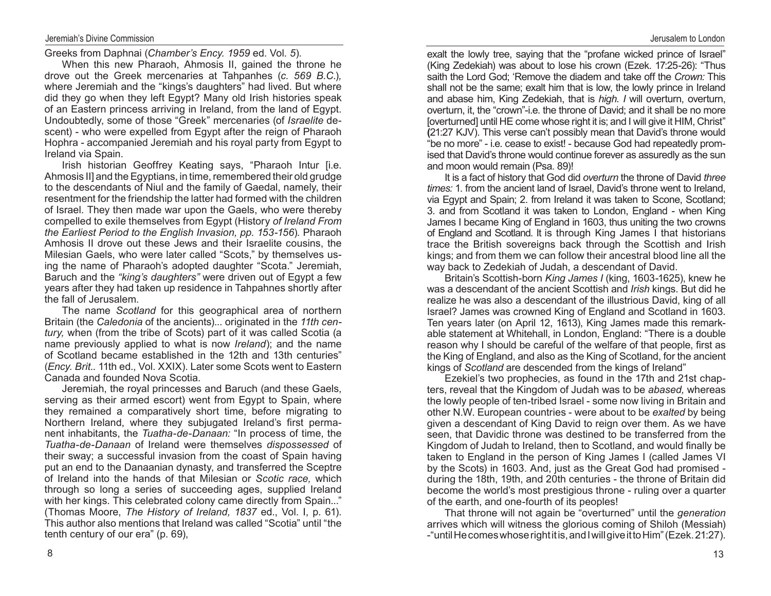Greeks from Daphnai (*Chamber's Ency. 1959* ed. Vol. *5*)*.*

When this new Pharaoh, Ahmosis II, gained the throne he drove out the Greek mercenaries at Tahpanhes (*c. 569 B.C.*)*,*  where Jeremiah and the "kings's daughters" had lived. But where did they go when they left Egypt? Many old Irish histories speak of an Eastern princess arriving in Ireland, from the land of Egypt. Undoubtedly, some of those "Greek" mercenaries (of *Israelite* descent) - who were expelled from Egypt after the reign of Pharaoh Hophra - accompanied Jeremiah and his royal party from Egypt to Ireland via Spain.

Irish historian Geoffrey Keating says, "Pharaoh Intur [i.e. Ahmosis II] and the Egyptians, in time, remembered their old grudge to the descendants of Niul and the family of Gaedal, namely, their resentment for the friendship the latter had formed with the children of Israel. They then made war upon the Gaels, who were thereby compelled to exile themselves from Egypt (History *of Ireland From the Earliest Period to the English Invasion, pp. 153‑156*)*.* Pharaoh Amhosis II drove out these Jews and their Israelite cousins, the Milesian Gaels, who were later called "Scots," by themselves using the name of Pharaoh's adopted daughter "Scota." Jeremiah, Baruch and the *"king's daughters"* were driven out of Egypt a few years after they had taken up residence in Tahpahnes shortly after the fall of Jerusalem.

The name *Scotland* for this geographical area of northern Britain (the *Caledonia* of the ancients)... originated in the *11th cen‑ tury,* when (from the tribe of Scots) part of it was called Scotia (a name previously applied to what is now *Ireland*); and the name of Scotland became established in the 12th and 13th centuries" (*Ency. Brit..* 11th ed., Vol. XXIX). Later some Scots went to Eastern Canada and founded Nova Scotia.

Jeremiah, the royal princesses and Baruch (and these Gaels, serving as their armed escort) went from Egypt to Spain, where they remained a comparatively short time, before migrating to Northern Ireland, where they subjugated Ireland's first permanent inhabitants, the *Tuatha‑de‑Danaan:* "In process of time, the *Tuatha‑de‑Danaan* of Ireland were themselves *dispossessed* of their sway; a successful invasion from the coast of Spain having put an end to the Danaanian dynasty, and transferred the Sceptre of Ireland into the hands of that Milesian or *Scotic race,* which through so long a series of succeeding ages, supplied Ireland with her kings. This celebrated colony came directly from Spain..." (Thomas Moore, *The History of Ireland, 1837* ed., Vol. I, p. 61). This author also mentions that Ireland was called "Scotia" until "the tenth century of our era" (p. 69),

exalt the lowly tree, saying that the "profane wicked prince of Israel" (King Zedekiah) was about to lose his crown (Ezek. 17:25-26): "Thus saith the Lord God; 'Remove the diadem and take off the *Crown:* This shall not be the same; exalt him that is low, the lowly prince in Ireland and abase him, King Zedekiah, that is *high. I* will overturn, overturn, overturn, it, the "crown"-i.e. the throne of David; and it shall be no more [overturned] until HE come whose right it is; and I will give it HIM, Christ" **(**21:27 KJV). This verse can't possibly mean that David's throne would "be no more" - i.e. cease to exist! - because God had repeatedly promised that David's throne would continue forever as assuredly as the sun and moon would remain (Psa. 89)!

It is a fact of history that God did *overturn* the throne of David *three times:* 1. from the ancient land of Israel, David's throne went to Ireland, via Egypt and Spain; 2. from Ireland it was taken to Scone, Scotland; 3. and from Scotland it was taken to London, England - when King James I became King of England in 1603, thus uniting the two crowns of England and Scotland. It is through King James I that historians trace the British sovereigns back through the Scottish and Irish kings; and from them we can follow their ancestral blood line all the way back to Zedekiah of Judah, a descendant of David.

Britain's Scottish-born *King James I* (king, 1603-1625), knew he was a descendant of the ancient Scottish and *Irish* kings. But did he realize he was also a descendant of the illustrious David, king of all Israel? James was crowned King of England and Scotland in 1603. Ten years later (on April 12, 1613), King James made this remarkable statement at Whitehall, in London, England: "There is a double reason why I should be careful of the welfare of that people, first as the King of England, and also as the King of Scotland, for the ancient kings of *Scotland* are descended from the kings of Ireland"

Ezekiel's two prophecies, as found in the 17th and 21st chapters, reveal that the Kingdom of Judah was to be *abased,* whereas the lowly people of ten-tribed Israel - some now living in Britain and other N.W. European countries - were about to be *exalted* by being given a descendant of King David to reign over them. As we have seen, that Davidic throne was destined to be transferred from the Kingdom of Judah to Ireland, then to Scotland, and would finally be taken to England in the person of King James I (called James VI by the Scots) in 1603. And, just as the Great God had promised during the 18th, 19th, and 20th centuries - the throne of Britain did become the world's most prestigious throne - ruling over a quarter of the earth, and one-fourth of its peoples!

That throne will not again be "overturned" until the *generation*  arrives which will witness the glorious coming of Shiloh (Messiah) -"until He comes whose right it is, and I will give it to Him"(Ezek. 21:27).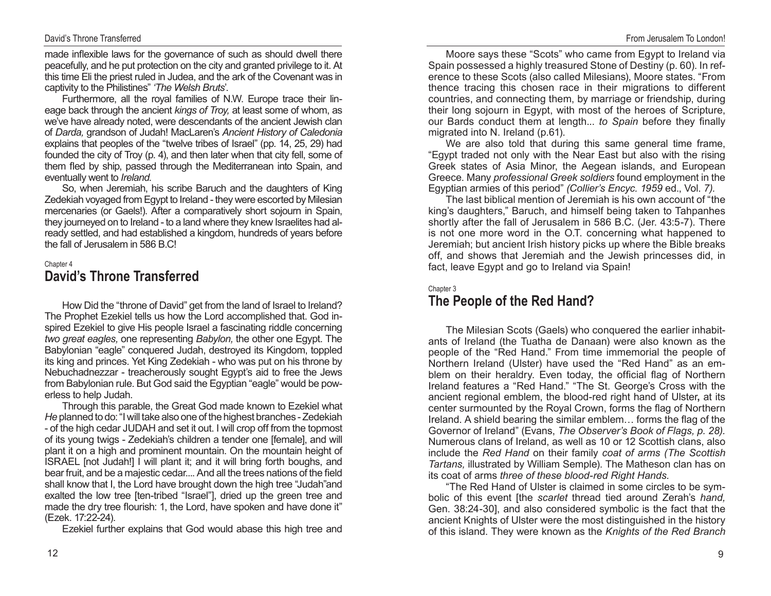## David's Throne Transferred

made inflexible laws for the governance of such as should dwell there peacefully, and he put protection on the city and granted privilege to it. At this time Eli the priest ruled in Judea, and the ark of the Covenant was in captivity to the Philistines" *'The Welsh Bruts*'.

Furthermore, all the royal families of N.W. Europe trace their lineage back through the ancient *kings of Troy,* at least some of whom, as we've have already noted, were descendants of the ancient Jewish clan of *Darda,* grandson of Judah! MacLaren's *Ancient History of Caledonia*  explains that peoples of the "twelve tribes of Israel" (pp. 14, 25, 29) had founded the city of Troy (p. 4), and then later when that city fell, some of them fled by ship, passed through the Mediterranean into Spain, and eventually went to *Ireland.*

So, when Jeremiah, his scribe Baruch and the daughters of King Zedekiah voyaged from Egypt to Ireland - they were escorted by Milesian mercenaries (or Gaels!). After a comparatively short sojourn in Spain, they journeyed on to Ireland - to a land where they knew Israelites had already settled, and had established a kingdom, hundreds of years before the fall of Jerusalem in 586 B.C!

#### Chapter 4

# **David's Throne Transferred**

How Did the "throne of David" get from the land of Israel to Ireland? The Prophet Ezekiel tells us how the Lord accomplished that. God inspired Ezekiel to give His people Israel a fascinating riddle concerning *two great eagles,* one representing *Babylon,* the other one Egypt. The Babylonian "eagle" conquered Judah, destroyed its Kingdom, toppled its king and princes. Yet King Zedekiah - who was put on his throne by Nebuchadnezzar - treacherously sought Egypt's aid to free the Jews from Babylonian rule. But God said the Egyptian "eagle" would be powerless to help Judah.

Through this parable, the Great God made known to Ezekiel what *He* planned to do: "I will take also one of the highest branches - Zedekiah - of the high cedar JUDAH and set it out. I will crop off from the topmost of its young twigs - Zedekiah's children a tender one [female], and will plant it on a high and prominent mountain. On the mountain height of ISRAEL [not Judah!] I will plant it; and it will bring forth boughs, and bear fruit, and be a majestic cedar.... And all the trees nations of the field shall know that I, the Lord have brought down the high tree "Judah"and exalted the low tree [ten-tribed "Israel"], dried up the green tree and made the dry tree flourish: 1, the Lord, have spoken and have done it" (Ezek. 17:22-24).

Ezekiel further explains that God would abase this high tree and

Moore says these "Scots" who came from Egypt to Ireland via Spain possessed a highly treasured Stone of Destiny (p. 60). In reference to these Scots (also called Milesians), Moore states. "From thence tracing this chosen race in their migrations to different countries, and connecting them, by marriage or friendship, during their long sojourn in Egypt, with most of the heroes of Scripture, our Bards conduct them at length... *to Spain* before they finally migrated into N. Ireland (p.61).

We are also told that during this same general time frame, "Egypt traded not only with the Near East but also with the rising Greek states of Asia Minor, the Aegean islands, and European Greece. Many *professional Greek soldiers* found employment in the Egyptian armies of this period" *(Collier's Encyc. 1959* ed., Vol. *7).*

The last biblical mention of Jeremiah is his own account of "the king's daughters," Baruch, and himself being taken to Tahpanhes shortly after the fall of Jerusalem in 586 B.C. (Jer. 43:5-7). There is not one more word in the O.T. concerning what happened to Jeremiah; but ancient Irish history picks up where the Bible breaks off, and shows that Jeremiah and the Jewish princesses did, in fact, leave Egypt and go to Ireland via Spain!

#### Chapter 3

# **The People of the Red Hand?**

The Milesian Scots (Gaels) who conquered the earlier inhabitants of Ireland (the Tuatha de Danaan) were also known as the people of the "Red Hand." From time immemorial the people of Northern Ireland (Ulster) have used the "Red Hand" as an emblem on their heraldry. Even today, the official flag of Northern Ireland features a "Red Hand." "The St. George's Cross with the ancient regional emblem, the blood-red right hand of Ulster**,** at its center surmounted by the Royal Crown, forms the flag of Northern Ireland. A shield bearing the similar emblem… forms the flag of the Governor of Ireland" (Evans, *The Observer's Book of Flags, p. 28).*  Numerous clans of Ireland, as well as 10 or 12 Scottish clans, also include the *Red Hand* on their family *coat of arms (The Scottish Tartans,* illustrated by William Semple). The Matheson clan has on its coat of arms *three of these blood‑red Right Hands.*

"The Red Hand of Ulster is claimed in some circles to be symbolic of this event [the *scarlet* thread tied around Zerah's *hand,*  Gen. 38:24-30], and also considered symbolic is the fact that the ancient Knights of Ulster were the most distinguished in the history of this island. They were known as the *Knights of the Red Branch*